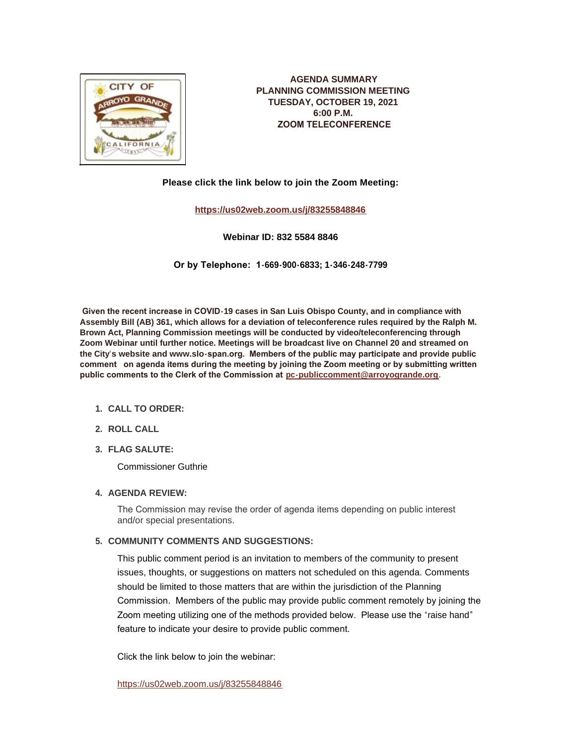

**AGENDA SUMMARY PLANNING COMMISSION MEETING TUESDAY, OCTOBER 19, 2021 6:00 P.M. ZOOM TELECONFERENCE**

**Please click the link below to join the Zoom Meeting:**

**<https://us02web.zoom.us/j/83255848846>**

**Webinar ID: 832 5584 8846**

**Or by Telephone: 1-669-900-6833; 1-346-248-7799**

 **Given the recent increase in COVID-19 cases in San Luis Obispo County, and in compliance with Assembly Bill (AB) 361, which allows for a deviation of teleconference rules required by the Ralph M. Brown Act, Planning Commission meetings will be conducted by video/teleconferencing through Zoom Webinar until further notice. Meetings will be broadcast live on Channel 20 and streamed on the City's website and www.slo-span.org. Members of the public may participate and provide public comment on agenda items during the meeting by joining the Zoom meeting or by submitting written public comments to the Clerk of the Commission at [pc-publiccomment@arroyogrande.org](mailto:pc-publiccomment@arroyogrande.org).** 

- **CALL TO ORDER: 1.**
- **ROLL CALL 2.**
- **FLAG SALUTE: 3.**

Commissioner Guthrie

# **AGENDA REVIEW: 4.**

The Commission may revise the order of agenda items depending on public interest and/or special presentations.

# **COMMUNITY COMMENTS AND SUGGESTIONS: 5.**

This public comment period is an invitation to members of the community to present issues, thoughts, or suggestions on matters not scheduled on this agenda. Comments should be limited to those matters that are within the jurisdiction of the Planning Commission. Members of the public may provide public comment remotely by joining the Zoom meeting utilizing one of the methods provided below. Please use the "raise hand" feature to indicate your desire to provide public comment.

Click the link below to join the webinar:

<https://us02web.zoom.us/j/83255848846>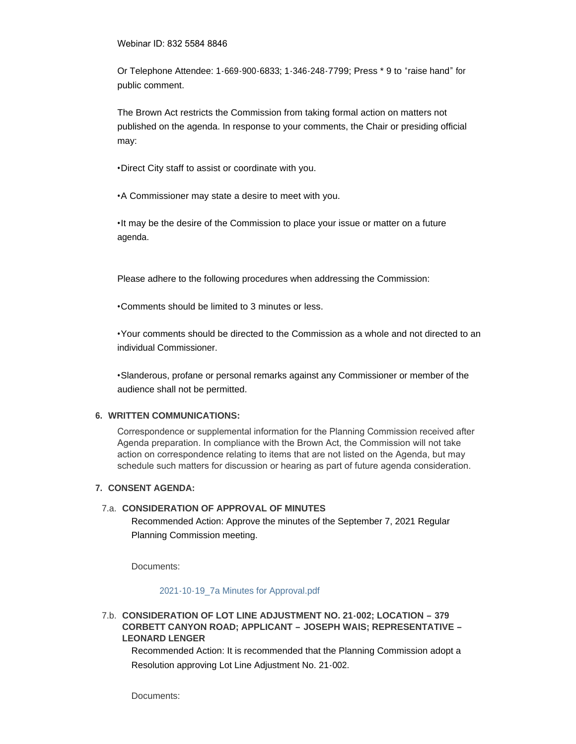#### Webinar ID: 832 5584 8846

Or Telephone Attendee: 1-669-900-6833; 1-346-248-7799; Press \* 9 to "raise hand" for public comment.

The Brown Act restricts the Commission from taking formal action on matters not published on the agenda. In response to your comments, the Chair or presiding official may:

•Direct City staff to assist or coordinate with you.

•A Commissioner may state a desire to meet with you.

•It may be the desire of the Commission to place your issue or matter on a future agenda.

Please adhere to the following procedures when addressing the Commission:

•Comments should be limited to 3 minutes or less.

•Your comments should be directed to the Commission as a whole and not directed to an individual Commissioner.

•Slanderous, profane or personal remarks against any Commissioner or member of the audience shall not be permitted.

### **WRITTEN COMMUNICATIONS: 6.**

Correspondence or supplemental information for the Planning Commission received after Agenda preparation. In compliance with the Brown Act, the Commission will not take action on correspondence relating to items that are not listed on the Agenda, but may schedule such matters for discussion or hearing as part of future agenda consideration.

### **CONSENT AGENDA: 7.**

### **CONSIDERATION OF APPROVAL OF MINUTES**  7.a.

Recommended Action: Approve the minutes of the September 7, 2021 Regular Planning Commission meeting.

Documents:

[2021-10-19\\_7a Minutes for Approval.pdf](http://www.arroyogrande.org/AgendaCenter/ViewFile/Item/11588?fileID=17600)

## **CONSIDERATION OF LOT LINE ADJUSTMENT NO. 21-002; LOCATION – 379**  7.b. **CORBETT CANYON ROAD; APPLICANT – JOSEPH WAIS; REPRESENTATIVE – LEONARD LENGER**

Recommended Action: It is recommended that the Planning Commission adopt a Resolution approving Lot Line Adjustment No. 21-002.

Documents: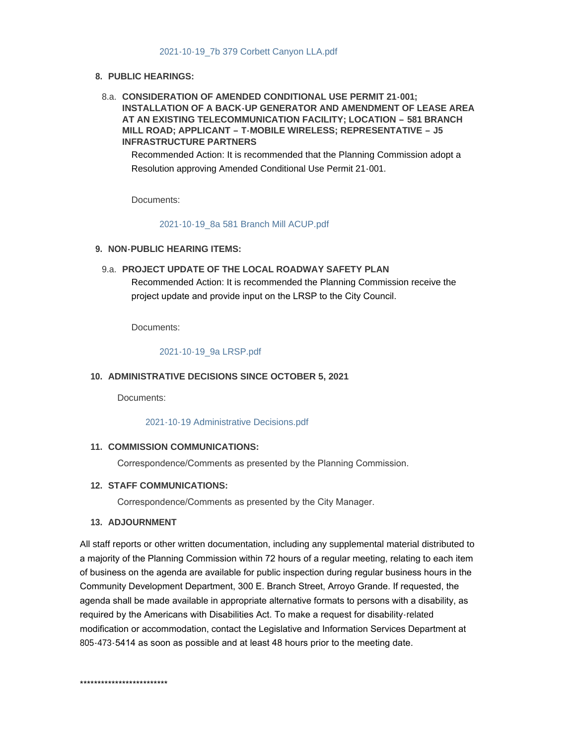### [2021-10-19\\_7b 379 Corbett Canyon LLA.pdf](http://www.arroyogrande.org/AgendaCenter/ViewFile/Item/11589?fileID=17601)

### **PUBLIC HEARINGS: 8.**

**CONSIDERATION OF AMENDED CONDITIONAL USE PERMIT 21-001;**  8.a. **INSTALLATION OF A BACK-UP GENERATOR AND AMENDMENT OF LEASE AREA AT AN EXISTING TELECOMMUNICATION FACILITY; LOCATION – 581 BRANCH MILL ROAD; APPLICANT – T-MOBILE WIRELESS; REPRESENTATIVE – J5 INFRASTRUCTURE PARTNERS** 

Recommended Action: It is recommended that the Planning Commission adopt a Resolution approving Amended Conditional Use Permit 21-001.

Documents:

### [2021-10-19\\_8a 581 Branch Mill ACUP.pdf](http://www.arroyogrande.org/AgendaCenter/ViewFile/Item/11607?fileID=17603)

### **NON-PUBLIC HEARING ITEMS: 9.**

**PROJECT UPDATE OF THE LOCAL ROADWAY SAFETY PLAN**  9.a. Recommended Action: It is recommended the Planning Commission receive the project update and provide input on the LRSP to the City Council.

Documents:

### [2021-10-19\\_9a LRSP.pdf](http://www.arroyogrande.org/AgendaCenter/ViewFile/Item/11590?fileID=17602)

## **ADMINISTRATIVE DECISIONS SINCE OCTOBER 5, 2021 10.**

Documents:

#### [2021-10-19 Administrative Decisions.pdf](http://www.arroyogrande.org/AgendaCenter/ViewFile/Item/11608?fileID=17604)

## 11. COMMISSION COMMUNICATIONS:

Correspondence/Comments as presented by the Planning Commission.

### **STAFF COMMUNICATIONS: 12.**

Correspondence/Comments as presented by the City Manager.

### **ADJOURNMENT 13.**

All staff reports or other written documentation, including any supplemental material distributed to a majority of the Planning Commission within 72 hours of a regular meeting, relating to each item of business on the agenda are available for public inspection during regular business hours in the Community Development Department, 300 E. Branch Street, Arroyo Grande. If requested, the agenda shall be made available in appropriate alternative formats to persons with a disability, as required by the Americans with Disabilities Act. To make a request for disability-related modification or accommodation, contact the Legislative and Information Services Department at 805-473-5414 as soon as possible and at least 48 hours prior to the meeting date.